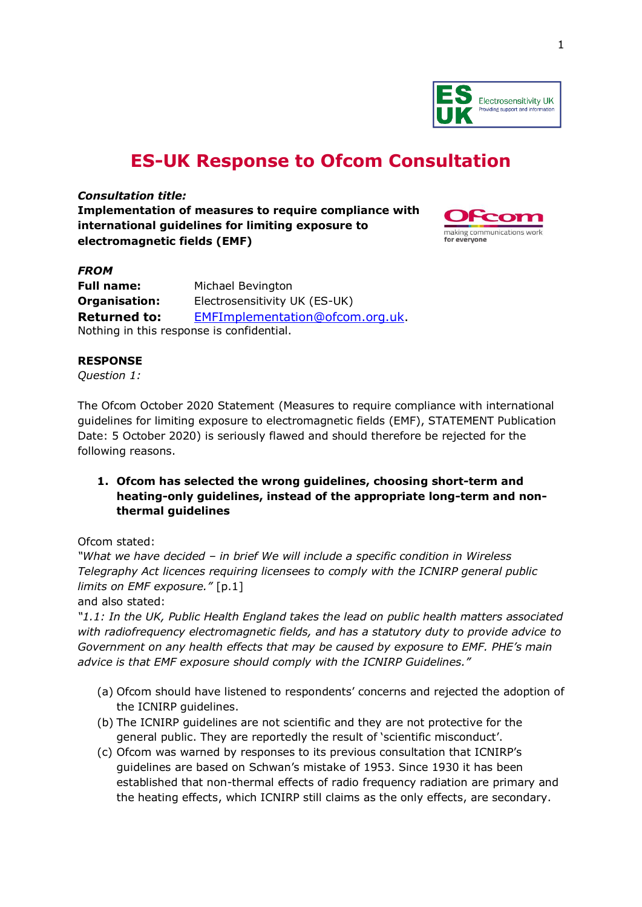

# **ES-UK Response to Ofcom Consultation**

*Consultation title:*

**Implementation of measures to require compliance with international guidelines for limiting exposure to electromagnetic fields (EMF)**



## *FROM* **Full name:** Michael Bevington **Organisation:** Electrosensitivity UK (ES-UK) **Returned to:** [EMFImplementation@ofcom.org.uk.](mailto:EMFImplementation@ofcom.org.uk)

Nothing in this response is confidential.

## **RESPONSE**

*Question 1:*

The Ofcom October 2020 Statement (Measures to require compliance with international guidelines for limiting exposure to electromagnetic fields (EMF), STATEMENT Publication Date: 5 October 2020) is seriously flawed and should therefore be rejected for the following reasons.

**1. Ofcom has selected the wrong guidelines, choosing short-term and heating-only guidelines, instead of the appropriate long-term and nonthermal guidelines**

Ofcom stated:

*"What we have decided – in brief We will include a specific condition in Wireless Telegraphy Act licences requiring licensees to comply with the ICNIRP general public limits on EMF exposure."* [p.1]

and also stated:

*"1.1: In the UK, Public Health England takes the lead on public health matters associated with radiofrequency electromagnetic fields, and has a statutory duty to provide advice to Government on any health effects that may be caused by exposure to EMF. PHE's main advice is that EMF exposure should comply with the ICNIRP Guidelines."*

- (a) Ofcom should have listened to respondents' concerns and rejected the adoption of the ICNIRP guidelines.
- (b) The ICNIRP guidelines are not scientific and they are not protective for the general public. They are reportedly the result of 'scientific misconduct'.
- (c) Ofcom was warned by responses to its previous consultation that ICNIRP's guidelines are based on Schwan's mistake of 1953. Since 1930 it has been established that non-thermal effects of radio frequency radiation are primary and the heating effects, which ICNIRP still claims as the only effects, are secondary.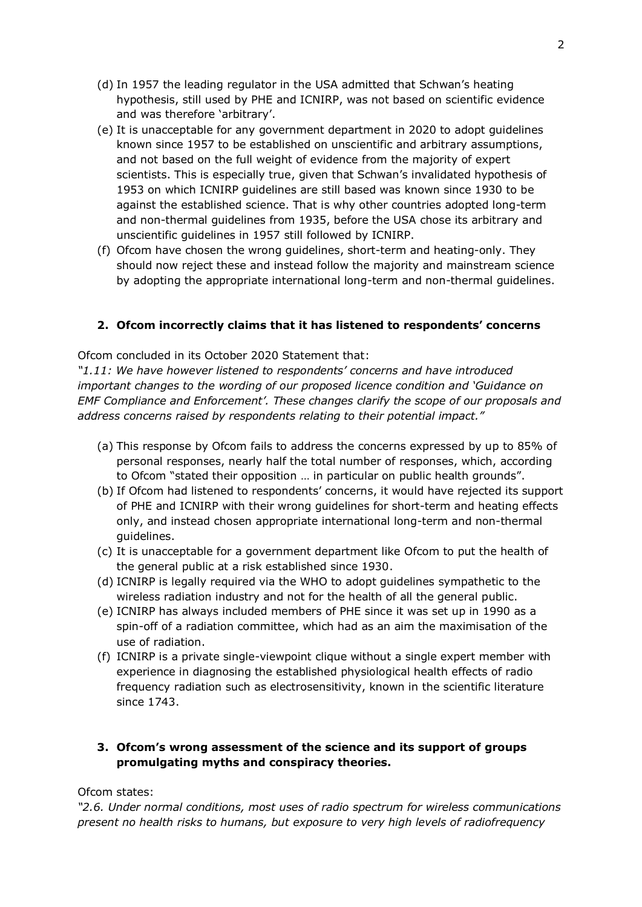- (d) In 1957 the leading regulator in the USA admitted that Schwan's heating hypothesis, still used by PHE and ICNIRP, was not based on scientific evidence and was therefore 'arbitrary'.
- (e) It is unacceptable for any government department in 2020 to adopt guidelines known since 1957 to be established on unscientific and arbitrary assumptions, and not based on the full weight of evidence from the majority of expert scientists. This is especially true, given that Schwan's invalidated hypothesis of 1953 on which ICNIRP guidelines are still based was known since 1930 to be against the established science. That is why other countries adopted long-term and non-thermal guidelines from 1935, before the USA chose its arbitrary and unscientific guidelines in 1957 still followed by ICNIRP.
- (f) Ofcom have chosen the wrong guidelines, short-term and heating-only. They should now reject these and instead follow the majority and mainstream science by adopting the appropriate international long-term and non-thermal guidelines.

## **2. Ofcom incorrectly claims that it has listened to respondents' concerns**

Ofcom concluded in its October 2020 Statement that:

*"1.11: We have however listened to respondents' concerns and have introduced important changes to the wording of our proposed licence condition and 'Guidance on EMF Compliance and Enforcement'. These changes clarify the scope of our proposals and address concerns raised by respondents relating to their potential impact."*

- (a) This response by Ofcom fails to address the concerns expressed by up to 85% of personal responses, nearly half the total number of responses, which, according to Ofcom "stated their opposition … in particular on public health grounds".
- (b) If Ofcom had listened to respondents' concerns, it would have rejected its support of PHE and ICNIRP with their wrong guidelines for short-term and heating effects only, and instead chosen appropriate international long-term and non-thermal guidelines.
- (c) It is unacceptable for a government department like Ofcom to put the health of the general public at a risk established since 1930.
- (d) ICNIRP is legally required via the WHO to adopt guidelines sympathetic to the wireless radiation industry and not for the health of all the general public.
- (e) ICNIRP has always included members of PHE since it was set up in 1990 as a spin-off of a radiation committee, which had as an aim the maximisation of the use of radiation.
- (f) ICNIRP is a private single-viewpoint clique without a single expert member with experience in diagnosing the established physiological health effects of radio frequency radiation such as electrosensitivity, known in the scientific literature since 1743.

## **3. Ofcom's wrong assessment of the science and its support of groups promulgating myths and conspiracy theories.**

### Ofcom states:

*"2.6. Under normal conditions, most uses of radio spectrum for wireless communications present no health risks to humans, but exposure to very high levels of radiofrequency*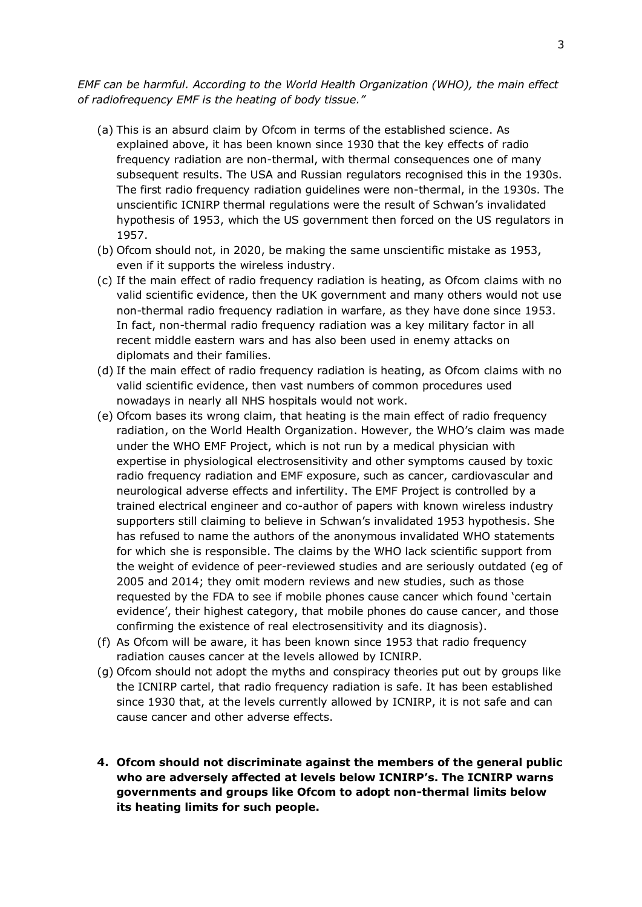*EMF can be harmful. According to the World Health Organization (WHO), the main effect of radiofrequency EMF is the heating of body tissue."*

- (a) This is an absurd claim by Ofcom in terms of the established science. As explained above, it has been known since 1930 that the key effects of radio frequency radiation are non-thermal, with thermal consequences one of many subsequent results. The USA and Russian regulators recognised this in the 1930s. The first radio frequency radiation guidelines were non-thermal, in the 1930s. The unscientific ICNIRP thermal regulations were the result of Schwan's invalidated hypothesis of 1953, which the US government then forced on the US regulators in 1957.
- (b) Ofcom should not, in 2020, be making the same unscientific mistake as 1953, even if it supports the wireless industry.
- (c) If the main effect of radio frequency radiation is heating, as Ofcom claims with no valid scientific evidence, then the UK government and many others would not use non-thermal radio frequency radiation in warfare, as they have done since 1953. In fact, non-thermal radio frequency radiation was a key military factor in all recent middle eastern wars and has also been used in enemy attacks on diplomats and their families.
- (d) If the main effect of radio frequency radiation is heating, as Ofcom claims with no valid scientific evidence, then vast numbers of common procedures used nowadays in nearly all NHS hospitals would not work.
- (e) Ofcom bases its wrong claim, that heating is the main effect of radio frequency radiation, on the World Health Organization. However, the WHO's claim was made under the WHO EMF Project, which is not run by a medical physician with expertise in physiological electrosensitivity and other symptoms caused by toxic radio frequency radiation and EMF exposure, such as cancer, cardiovascular and neurological adverse effects and infertility. The EMF Project is controlled by a trained electrical engineer and co-author of papers with known wireless industry supporters still claiming to believe in Schwan's invalidated 1953 hypothesis. She has refused to name the authors of the anonymous invalidated WHO statements for which she is responsible. The claims by the WHO lack scientific support from the weight of evidence of peer-reviewed studies and are seriously outdated (eg of 2005 and 2014; they omit modern reviews and new studies, such as those requested by the FDA to see if mobile phones cause cancer which found 'certain evidence', their highest category, that mobile phones do cause cancer, and those confirming the existence of real electrosensitivity and its diagnosis).
- (f) As Ofcom will be aware, it has been known since 1953 that radio frequency radiation causes cancer at the levels allowed by ICNIRP.
- (g) Ofcom should not adopt the myths and conspiracy theories put out by groups like the ICNIRP cartel, that radio frequency radiation is safe. It has been established since 1930 that, at the levels currently allowed by ICNIRP, it is not safe and can cause cancer and other adverse effects.
- **4. Ofcom should not discriminate against the members of the general public who are adversely affected at levels below ICNIRP's. The ICNIRP warns governments and groups like Ofcom to adopt non-thermal limits below its heating limits for such people.**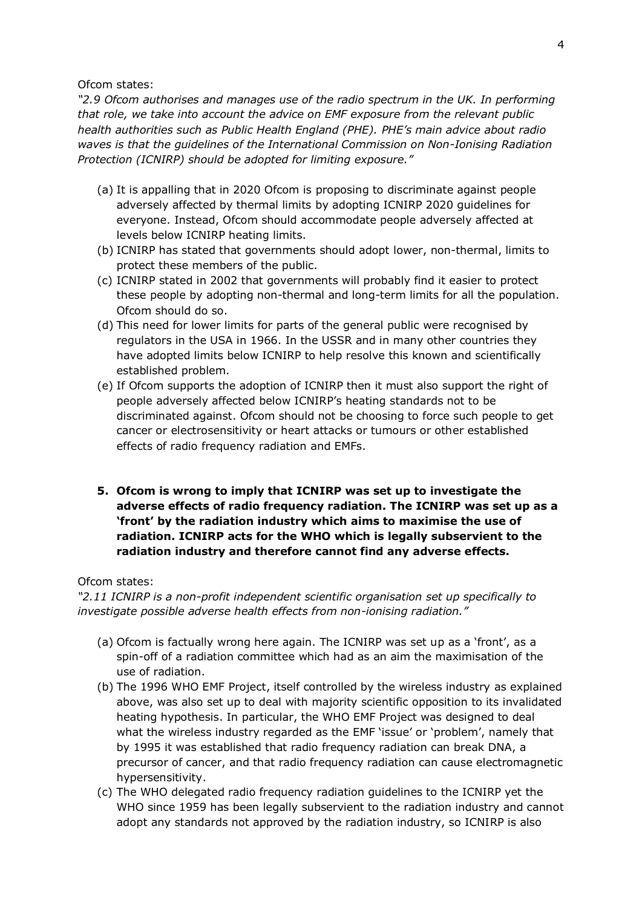Ofcom states:

*"2.9 Ofcom authorises and manages use of the radio spectrum in the UK. In performing that role, we take into account the advice on EMF exposure from the relevant public health authorities such as Public Health England (PHE). PHE's main advice about radio waves is that the guidelines of the International Commission on Non-Ionising Radiation Protection (ICNIRP) should be adopted for limiting exposure."*

- (a) It is appalling that in 2020 Ofcom is proposing to discriminate against people adversely affected by thermal limits by adopting ICNIRP 2020 guidelines for everyone. Instead, Ofcom should accommodate people adversely affected at levels below ICNIRP heating limits.
- (b) ICNIRP has stated that governments should adopt lower, non-thermal, limits to protect these members of the public.
- (c) ICNIRP stated in 2002 that governments will probably find it easier to protect these people by adopting non-thermal and long-term limits for all the population. Ofcom should do so.
- (d) This need for lower limits for parts of the general public were recognised by regulators in the USA in 1966. In the USSR and in many other countries they have adopted limits below ICNIRP to help resolve this known and scientifically established problem.
- (e) If Ofcom supports the adoption of ICNIRP then it must also support the right of people adversely affected below ICNIRP's heating standards not to be discriminated against. Ofcom should not be choosing to force such people to get cancer or electrosensitivity or heart attacks or tumours or other established effects of radio frequency radiation and EMFs.
- **5. Ofcom is wrong to imply that ICNIRP was set up to investigate the adverse effects of radio frequency radiation. The ICNIRP was set up as a 'front' by the radiation industry which aims to maximise the use of radiation. ICNIRP acts for the WHO which is legally subservient to the radiation industry and therefore cannot find any adverse effects.**

#### Ofcom states:

*"2.11 ICNIRP is a non-profit independent scientific organisation set up specifically to investigate possible adverse health effects from non-ionising radiation."*

- (a) Ofcom is factually wrong here again. The ICNIRP was set up as a 'front', as a spin-off of a radiation committee which had as an aim the maximisation of the use of radiation.
- (b) The 1996 WHO EMF Project, itself controlled by the wireless industry as explained above, was also set up to deal with majority scientific opposition to its invalidated heating hypothesis. In particular, the WHO EMF Project was designed to deal what the wireless industry regarded as the EMF 'issue' or 'problem', namely that by 1995 it was established that radio frequency radiation can break DNA, a precursor of cancer, and that radio frequency radiation can cause electromagnetic hypersensitivity.
- (c) The WHO delegated radio frequency radiation guidelines to the ICNIRP yet the WHO since 1959 has been legally subservient to the radiation industry and cannot adopt any standards not approved by the radiation industry, so ICNIRP is also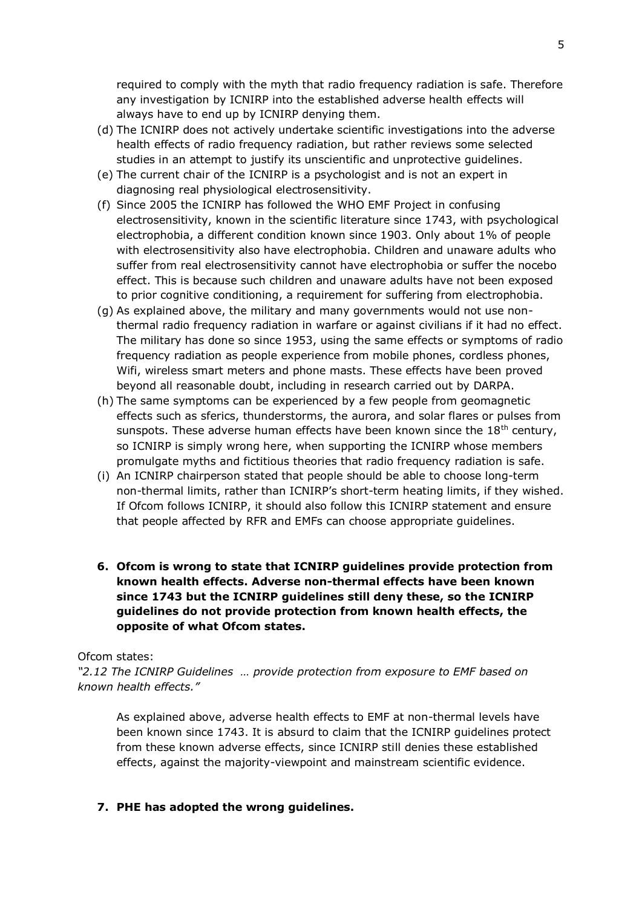required to comply with the myth that radio frequency radiation is safe. Therefore any investigation by ICNIRP into the established adverse health effects will always have to end up by ICNIRP denying them.

- (d) The ICNIRP does not actively undertake scientific investigations into the adverse health effects of radio frequency radiation, but rather reviews some selected studies in an attempt to justify its unscientific and unprotective guidelines.
- (e) The current chair of the ICNIRP is a psychologist and is not an expert in diagnosing real physiological electrosensitivity.
- (f) Since 2005 the ICNIRP has followed the WHO EMF Project in confusing electrosensitivity, known in the scientific literature since 1743, with psychological electrophobia, a different condition known since 1903. Only about 1% of people with electrosensitivity also have electrophobia. Children and unaware adults who suffer from real electrosensitivity cannot have electrophobia or suffer the nocebo effect. This is because such children and unaware adults have not been exposed to prior cognitive conditioning, a requirement for suffering from electrophobia.
- (g) As explained above, the military and many governments would not use nonthermal radio frequency radiation in warfare or against civilians if it had no effect. The military has done so since 1953, using the same effects or symptoms of radio frequency radiation as people experience from mobile phones, cordless phones, Wifi, wireless smart meters and phone masts. These effects have been proved beyond all reasonable doubt, including in research carried out by DARPA.
- (h) The same symptoms can be experienced by a few people from geomagnetic effects such as sferics, thunderstorms, the aurora, and solar flares or pulses from sunspots. These adverse human effects have been known since the  $18<sup>th</sup>$  century, so ICNIRP is simply wrong here, when supporting the ICNIRP whose members promulgate myths and fictitious theories that radio frequency radiation is safe.
- (i) An ICNIRP chairperson stated that people should be able to choose long-term non-thermal limits, rather than ICNIRP's short-term heating limits, if they wished. If Ofcom follows ICNIRP, it should also follow this ICNIRP statement and ensure that people affected by RFR and EMFs can choose appropriate guidelines.
- **6. Ofcom is wrong to state that ICNIRP guidelines provide protection from known health effects. Adverse non-thermal effects have been known since 1743 but the ICNIRP guidelines still deny these, so the ICNIRP guidelines do not provide protection from known health effects, the opposite of what Ofcom states.**

#### Ofcom states:

*"2.12 The ICNIRP Guidelines … provide protection from exposure to EMF based on known health effects."*

As explained above, adverse health effects to EMF at non-thermal levels have been known since 1743. It is absurd to claim that the ICNIRP guidelines protect from these known adverse effects, since ICNIRP still denies these established effects, against the majority-viewpoint and mainstream scientific evidence.

#### **7. PHE has adopted the wrong guidelines.**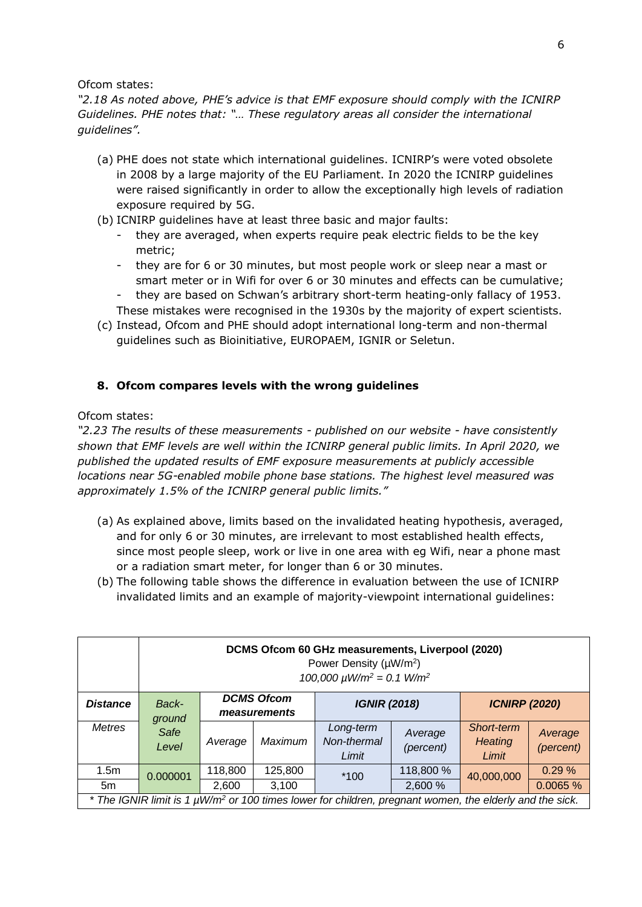Ofcom states:

*"2.18 As noted above, PHE's advice is that EMF exposure should comply with the ICNIRP Guidelines. PHE notes that: "… These regulatory areas all consider the international guidelines".*

- (a) PHE does not state which international guidelines. ICNIRP's were voted obsolete in 2008 by a large majority of the EU Parliament. In 2020 the ICNIRP guidelines were raised significantly in order to allow the exceptionally high levels of radiation exposure required by 5G.
- (b) ICNIRP guidelines have at least three basic and major faults:
	- they are averaged, when experts require peak electric fields to be the key metric;
	- they are for 6 or 30 minutes, but most people work or sleep near a mast or smart meter or in Wifi for over 6 or 30 minutes and effects can be cumulative;
	- they are based on Schwan's arbitrary short-term heating-only fallacy of 1953. These mistakes were recognised in the 1930s by the majority of expert scientists.
- (c) Instead, Ofcom and PHE should adopt international long-term and non-thermal guidelines such as Bioinitiative, EUROPAEM, IGNIR or Seletun.

## **8. Ofcom compares levels with the wrong guidelines**

Ofcom states:

*"2.23 The results of these measurements - published on our website - have consistently shown that EMF levels are well within the ICNIRP general public limits. In April 2020, we published the updated results of EMF exposure measurements at publicly accessible locations near 5G-enabled mobile phone base stations. The highest level measured was approximately 1.5% of the ICNIRP general public limits."*

- (a) As explained above, limits based on the invalidated heating hypothesis, averaged, and for only 6 or 30 minutes, are irrelevant to most established health effects, since most people sleep, work or live in one area with eg Wifi, near a phone mast or a radiation smart meter, for longer than 6 or 30 minutes.
- (b) The following table shows the difference in evaluation between the use of ICNIRP invalidated limits and an example of majority-viewpoint international guidelines:

|                                                                                                                     | DCMS Ofcom 60 GHz measurements, Liverpool (2020)<br>Power Density (µW/m <sup>2</sup> )<br>$100,000 \mu W/m^2 = 0.1 W/m^2$ |                                   |                |                                   |                      |                                       |                      |  |  |  |
|---------------------------------------------------------------------------------------------------------------------|---------------------------------------------------------------------------------------------------------------------------|-----------------------------------|----------------|-----------------------------------|----------------------|---------------------------------------|----------------------|--|--|--|
| <b>Distance</b>                                                                                                     | Back-<br>ground                                                                                                           | <b>DCMS Ofcom</b><br>measurements |                | <b>IGNIR (2018)</b>               |                      | <b>ICNIRP (2020)</b>                  |                      |  |  |  |
| Metres                                                                                                              | Safe<br>Level                                                                                                             | Average                           | <b>Maximum</b> | Long-term<br>Non-thermal<br>Limit | Average<br>(percent) | Short-term<br><b>Heating</b><br>Limit | Average<br>(percent) |  |  |  |
| 1.5m                                                                                                                | 0.000001                                                                                                                  | 118,800                           | 125,800        | $*100$                            | 118,800 %            | 40,000,000                            | 0.29%                |  |  |  |
| 5m                                                                                                                  |                                                                                                                           | 2,600                             | 3,100          |                                   | 2,600 %              |                                       | 0.0065 %             |  |  |  |
| * The IGNIR limit is 1 µW/m <sup>2</sup> or 100 times lower for children, pregnant women, the elderly and the sick. |                                                                                                                           |                                   |                |                                   |                      |                                       |                      |  |  |  |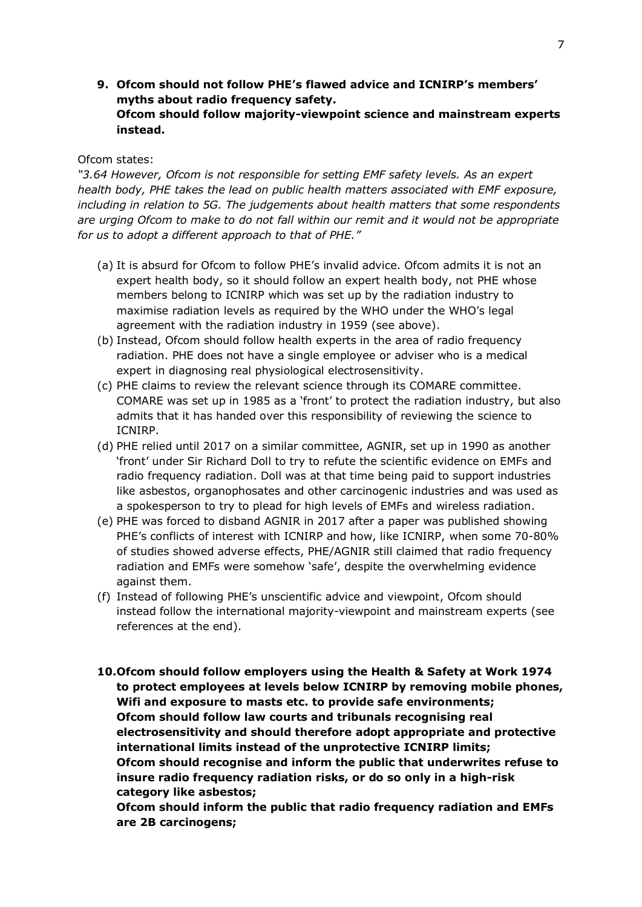**9. Ofcom should not follow PHE's flawed advice and ICNIRP's members' myths about radio frequency safety. Ofcom should follow majority-viewpoint science and mainstream experts instead.**

#### Ofcom states:

*"3.64 However, Ofcom is not responsible for setting EMF safety levels. As an expert health body, PHE takes the lead on public health matters associated with EMF exposure, including in relation to 5G. The judgements about health matters that some respondents are urging Ofcom to make to do not fall within our remit and it would not be appropriate for us to adopt a different approach to that of PHE."*

- (a) It is absurd for Ofcom to follow PHE's invalid advice. Ofcom admits it is not an expert health body, so it should follow an expert health body, not PHE whose members belong to ICNIRP which was set up by the radiation industry to maximise radiation levels as required by the WHO under the WHO's legal agreement with the radiation industry in 1959 (see above).
- (b) Instead, Ofcom should follow health experts in the area of radio frequency radiation. PHE does not have a single employee or adviser who is a medical expert in diagnosing real physiological electrosensitivity.
- (c) PHE claims to review the relevant science through its COMARE committee. COMARE was set up in 1985 as a 'front' to protect the radiation industry, but also admits that it has handed over this responsibility of reviewing the science to ICNIRP.
- (d) PHE relied until 2017 on a similar committee, AGNIR, set up in 1990 as another 'front' under Sir Richard Doll to try to refute the scientific evidence on EMFs and radio frequency radiation. Doll was at that time being paid to support industries like asbestos, organophosates and other carcinogenic industries and was used as a spokesperson to try to plead for high levels of EMFs and wireless radiation.
- (e) PHE was forced to disband AGNIR in 2017 after a paper was published showing PHE's conflicts of interest with ICNIRP and how, like ICNIRP, when some 70-80% of studies showed adverse effects, PHE/AGNIR still claimed that radio frequency radiation and EMFs were somehow 'safe', despite the overwhelming evidence against them.
- (f) Instead of following PHE's unscientific advice and viewpoint, Ofcom should instead follow the international majority-viewpoint and mainstream experts (see references at the end).
- **10.Ofcom should follow employers using the Health & Safety at Work 1974 to protect employees at levels below ICNIRP by removing mobile phones, Wifi and exposure to masts etc. to provide safe environments; Ofcom should follow law courts and tribunals recognising real electrosensitivity and should therefore adopt appropriate and protective international limits instead of the unprotective ICNIRP limits; Ofcom should recognise and inform the public that underwrites refuse to insure radio frequency radiation risks, or do so only in a high-risk category like asbestos;**

**Ofcom should inform the public that radio frequency radiation and EMFs are 2B carcinogens;**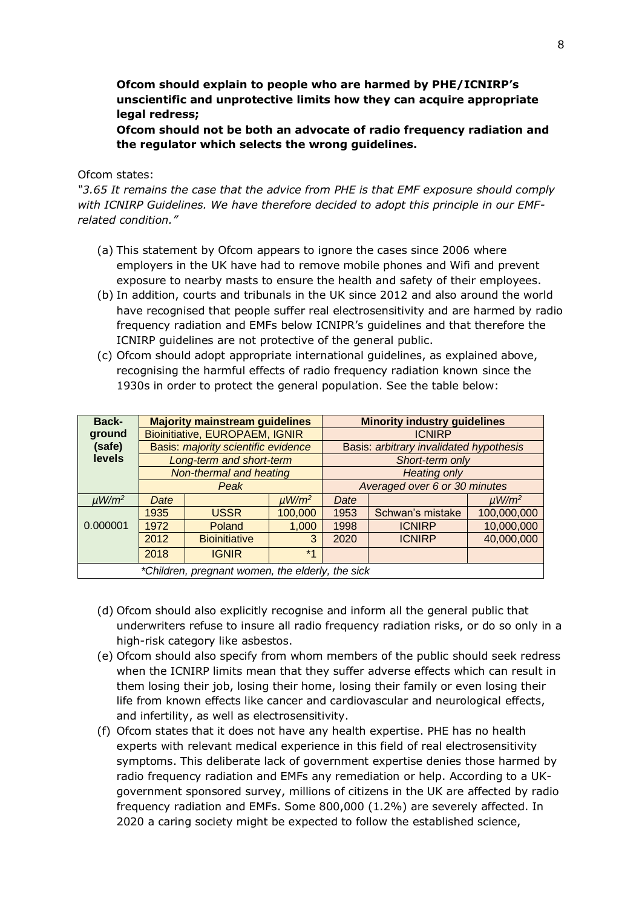## **Ofcom should explain to people who are harmed by PHE/ICNIRP's unscientific and unprotective limits how they can acquire appropriate legal redress;**

**Ofcom should not be both an advocate of radio frequency radiation and the regulator which selects the wrong guidelines.**

#### Ofcom states:

*"3.65 It remains the case that the advice from PHE is that EMF exposure should comply with ICNIRP Guidelines. We have therefore decided to adopt this principle in our EMFrelated condition."*

- (a) This statement by Ofcom appears to ignore the cases since 2006 where employers in the UK have had to remove mobile phones and Wifi and prevent exposure to nearby masts to ensure the health and safety of their employees.
- (b) In addition, courts and tribunals in the UK since 2012 and also around the world have recognised that people suffer real electrosensitivity and are harmed by radio frequency radiation and EMFs below ICNIPR's guidelines and that therefore the ICNIRP guidelines are not protective of the general public.
- (c) Ofcom should adopt appropriate international guidelines, as explained above, recognising the harmful effects of radio frequency radiation known since the 1930s in order to protect the general population. See the table below:

| Back-                                            |      | <b>Majority mainstream guidelines</b> |                        | <b>Minority industry guidelines</b>     |                  |                        |  |  |  |
|--------------------------------------------------|------|---------------------------------------|------------------------|-----------------------------------------|------------------|------------------------|--|--|--|
| ground                                           |      | <b>Bioinitiative, EUROPAEM, IGNIR</b> |                        | <b>ICNIRP</b>                           |                  |                        |  |  |  |
| (safe)                                           |      | Basis: majority scientific evidence   |                        | Basis: arbitrary invalidated hypothesis |                  |                        |  |  |  |
| levels                                           |      | Long-term and short-term              |                        | Short-term only                         |                  |                        |  |  |  |
|                                                  |      | Non-thermal and heating               |                        | <b>Heating only</b>                     |                  |                        |  |  |  |
|                                                  |      | Peak                                  |                        | Averaged over 6 or 30 minutes           |                  |                        |  |  |  |
| $\mu$ W/m <sup>2</sup>                           | Date |                                       | $\mu$ W/m <sup>2</sup> | Date                                    |                  | $\mu$ W/m <sup>2</sup> |  |  |  |
| 0.000001                                         | 1935 | <b>USSR</b>                           | 100,000                | 1953                                    | Schwan's mistake | 100,000,000            |  |  |  |
|                                                  | 1972 | Poland                                | 1,000                  | 1998                                    | <b>ICNIRP</b>    | 10,000,000             |  |  |  |
|                                                  | 2012 | <b>Bioinitiative</b>                  | 3                      | 2020                                    | <b>ICNIRP</b>    | 40,000,000             |  |  |  |
|                                                  | 2018 | <b>IGNIR</b>                          | $*1$                   |                                         |                  |                        |  |  |  |
| *Children, pregnant women, the elderly, the sick |      |                                       |                        |                                         |                  |                        |  |  |  |

- (d) Ofcom should also explicitly recognise and inform all the general public that underwriters refuse to insure all radio frequency radiation risks, or do so only in a high-risk category like asbestos.
- (e) Ofcom should also specify from whom members of the public should seek redress when the ICNIRP limits mean that they suffer adverse effects which can result in them losing their job, losing their home, losing their family or even losing their life from known effects like cancer and cardiovascular and neurological effects, and infertility, as well as electrosensitivity.
- (f) Ofcom states that it does not have any health expertise. PHE has no health experts with relevant medical experience in this field of real electrosensitivity symptoms. This deliberate lack of government expertise denies those harmed by radio frequency radiation and EMFs any remediation or help. According to a UKgovernment sponsored survey, millions of citizens in the UK are affected by radio frequency radiation and EMFs. Some 800,000 (1.2%) are severely affected. In 2020 a caring society might be expected to follow the established science,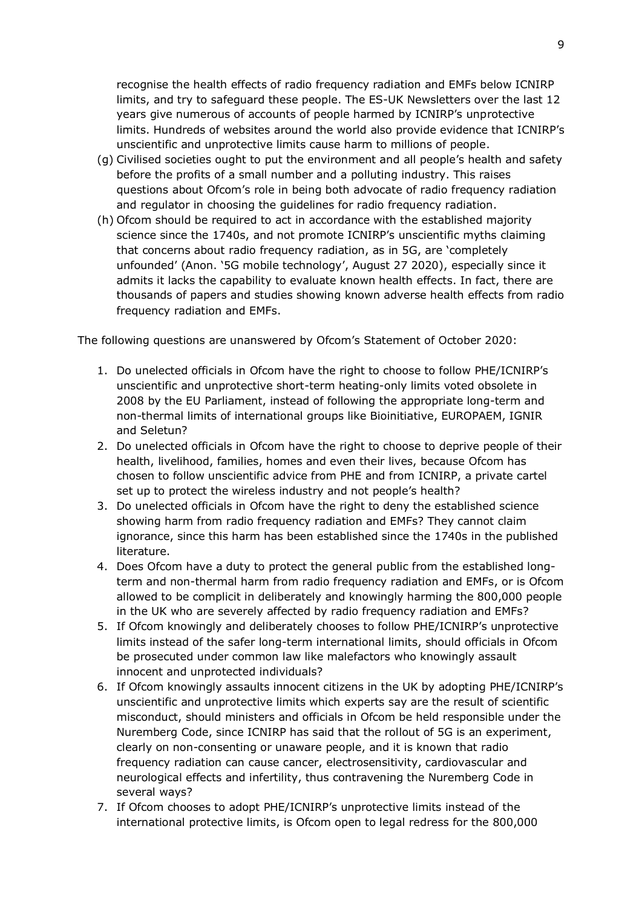recognise the health effects of radio frequency radiation and EMFs below ICNIRP limits, and try to safeguard these people. The ES-UK Newsletters over the last 12 years give numerous of accounts of people harmed by ICNIRP's unprotective limits. Hundreds of websites around the world also provide evidence that ICNIRP's unscientific and unprotective limits cause harm to millions of people.

- (g) Civilised societies ought to put the environment and all people's health and safety before the profits of a small number and a polluting industry. This raises questions about Ofcom's role in being both advocate of radio frequency radiation and regulator in choosing the guidelines for radio frequency radiation.
- (h) Ofcom should be required to act in accordance with the established majority science since the 1740s, and not promote ICNIRP's unscientific myths claiming that concerns about radio frequency radiation, as in 5G, are 'completely unfounded' (Anon. '5G mobile technology', August 27 2020), especially since it admits it lacks the capability to evaluate known health effects. In fact, there are thousands of papers and studies showing known adverse health effects from radio frequency radiation and EMFs.

The following questions are unanswered by Ofcom's Statement of October 2020:

- 1. Do unelected officials in Ofcom have the right to choose to follow PHE/ICNIRP's unscientific and unprotective short-term heating-only limits voted obsolete in 2008 by the EU Parliament, instead of following the appropriate long-term and non-thermal limits of international groups like Bioinitiative, EUROPAEM, IGNIR and Seletun?
- 2. Do unelected officials in Ofcom have the right to choose to deprive people of their health, livelihood, families, homes and even their lives, because Ofcom has chosen to follow unscientific advice from PHE and from ICNIRP, a private cartel set up to protect the wireless industry and not people's health?
- 3. Do unelected officials in Ofcom have the right to deny the established science showing harm from radio frequency radiation and EMFs? They cannot claim ignorance, since this harm has been established since the 1740s in the published literature.
- 4. Does Ofcom have a duty to protect the general public from the established longterm and non-thermal harm from radio frequency radiation and EMFs, or is Ofcom allowed to be complicit in deliberately and knowingly harming the 800,000 people in the UK who are severely affected by radio frequency radiation and EMFs?
- 5. If Ofcom knowingly and deliberately chooses to follow PHE/ICNIRP's unprotective limits instead of the safer long-term international limits, should officials in Ofcom be prosecuted under common law like malefactors who knowingly assault innocent and unprotected individuals?
- 6. If Ofcom knowingly assaults innocent citizens in the UK by adopting PHE/ICNIRP's unscientific and unprotective limits which experts say are the result of scientific misconduct, should ministers and officials in Ofcom be held responsible under the Nuremberg Code, since ICNIRP has said that the rollout of 5G is an experiment, clearly on non-consenting or unaware people, and it is known that radio frequency radiation can cause cancer, electrosensitivity, cardiovascular and neurological effects and infertility, thus contravening the Nuremberg Code in several ways?
- 7. If Ofcom chooses to adopt PHE/ICNIRP's unprotective limits instead of the international protective limits, is Ofcom open to legal redress for the 800,000